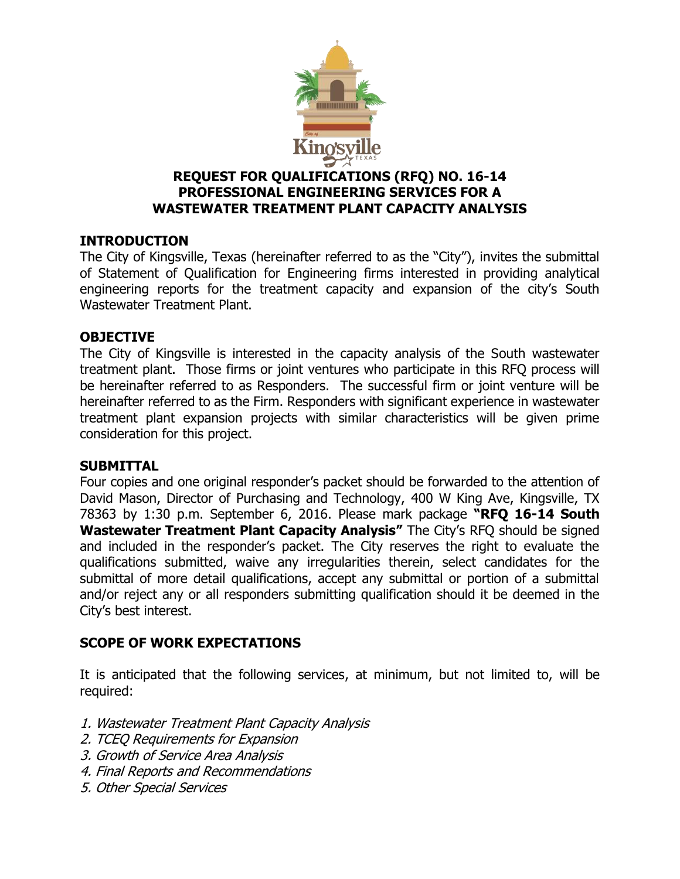

### **REQUEST FOR QUALIFICATIONS (RFQ) NO. 16-14 PROFESSIONAL ENGINEERING SERVICES FOR A WASTEWATER TREATMENT PLANT CAPACITY ANALYSIS**

### **INTRODUCTION**

The City of Kingsville, Texas (hereinafter referred to as the "City"), invites the submittal of Statement of Qualification for Engineering firms interested in providing analytical engineering reports for the treatment capacity and expansion of the city's South Wastewater Treatment Plant.

### **OBJECTIVE**

The City of Kingsville is interested in the capacity analysis of the South wastewater treatment plant. Those firms or joint ventures who participate in this RFQ process will be hereinafter referred to as Responders. The successful firm or joint venture will be hereinafter referred to as the Firm. Responders with significant experience in wastewater treatment plant expansion projects with similar characteristics will be given prime consideration for this project.

#### **SUBMITTAL**

Four copies and one original responder's packet should be forwarded to the attention of David Mason, Director of Purchasing and Technology, 400 W King Ave, Kingsville, TX 78363 by 1:30 p.m. September 6, 2016. Please mark package **"RFQ 16-14 South Wastewater Treatment Plant Capacity Analysis"** The City's RFQ should be signed and included in the responder's packet. The City reserves the right to evaluate the qualifications submitted, waive any irregularities therein, select candidates for the submittal of more detail qualifications, accept any submittal or portion of a submittal and/or reject any or all responders submitting qualification should it be deemed in the City's best interest.

# **SCOPE OF WORK EXPECTATIONS**

It is anticipated that the following services, at minimum, but not limited to, will be required:

- 1. Wastewater Treatment Plant Capacity Analysis
- 2. TCEQ Requirements for Expansion
- 3. Growth of Service Area Analysis
- 4. Final Reports and Recommendations
- 5. Other Special Services